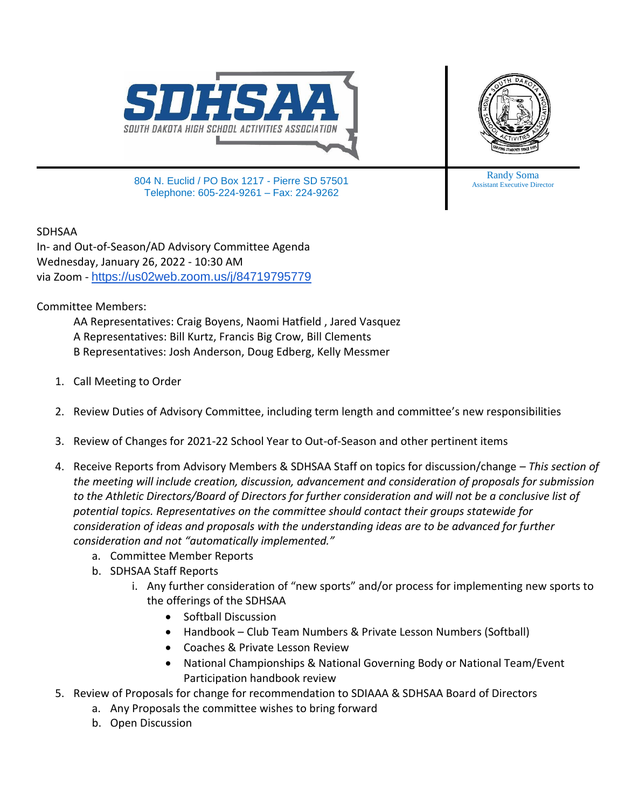



804 N. Euclid / PO Box 1217 - Pierre SD 57501 Telephone: 605-224-9261 – Fax: 224-9262

Randy Soma Assistant Executive Director

SDHSAA

In- and Out-of-Season/AD Advisory Committee Agenda Wednesday, January 26, 2022 - 10:30 AM via Zoom - <https://us02web.zoom.us/j/84719795779>

Committee Members:

AA Representatives: Craig Boyens, Naomi Hatfield , Jared Vasquez A Representatives: Bill Kurtz, Francis Big Crow, Bill Clements B Representatives: Josh Anderson, Doug Edberg, Kelly Messmer

- 1. Call Meeting to Order
- 2. Review Duties of Advisory Committee, including term length and committee's new responsibilities
- 3. Review of Changes for 2021-22 School Year to Out-of-Season and other pertinent items
- 4. Receive Reports from Advisory Members & SDHSAA Staff on topics for discussion/change *This section of the meeting will include creation, discussion, advancement and consideration of proposals for submission to the Athletic Directors/Board of Directors for further consideration and will not be a conclusive list of potential topics. Representatives on the committee should contact their groups statewide for consideration of ideas and proposals with the understanding ideas are to be advanced for further consideration and not "automatically implemented."*
	- a. Committee Member Reports
	- b. SDHSAA Staff Reports
		- i. Any further consideration of "new sports" and/or process for implementing new sports to the offerings of the SDHSAA
			- Softball Discussion
			- Handbook Club Team Numbers & Private Lesson Numbers (Softball)
			- Coaches & Private Lesson Review
			- National Championships & National Governing Body or National Team/Event Participation handbook review
- 5. Review of Proposals for change for recommendation to SDIAAA & SDHSAA Board of Directors
	- a. Any Proposals the committee wishes to bring forward
	- b. Open Discussion